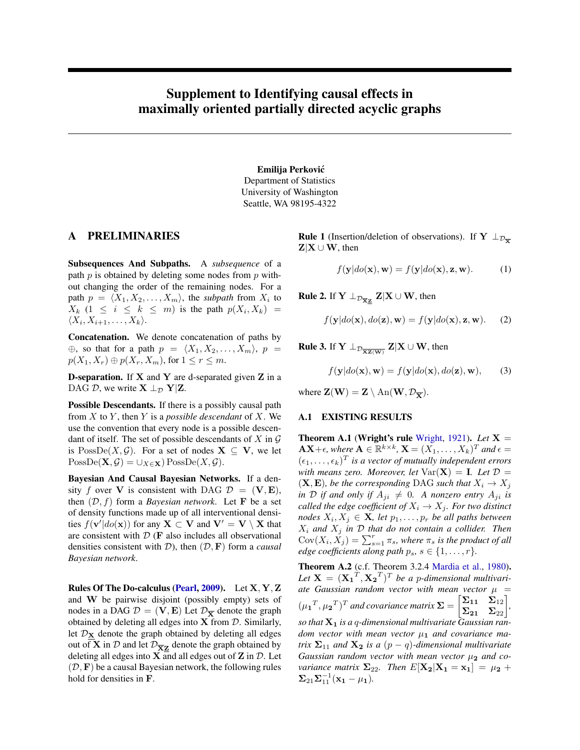# <span id="page-0-0"></span>Supplement to Identifying causal effects in maximally oriented partially directed acyclic graphs

#### Emilija Perkovic´

Department of Statistics University of Washington Seattle, WA 98195-4322

#### A PRELIMINARIES

Subsequences And Subpaths. A *subsequence* of a path  $p$  is obtained by deleting some nodes from  $p$  without changing the order of the remaining nodes. For a path  $p = \langle X_1, X_2, \dots, X_m \rangle$ , the *subpath* from  $X_i$  to  $X_k$  (1  $\leq i \leq k \leq m$ ) is the path  $p(X_i, X_k)$  =  $\langle X_i, X_{i+1}, \ldots, X_k \rangle$ .

Concatenation. We denote concatenation of paths by  $\oplus$ , so that for a path  $p = \langle X_1, X_2, \ldots, X_m \rangle$ ,  $p =$  $p(X_1, X_r) \oplus p(X_r, X_m)$ , for  $1 \leq r \leq m$ .

**D-separation.** If  $X$  and  $Y$  are d-separated given  $Z$  in a DAG D, we write  $X \perp_{\mathcal{D}} Y|Z$ .

Possible Descendants. If there is a possibly causal path from X to Y , then Y is a *possible descendant* of X. We use the convention that every node is a possible descendant of itself. The set of possible descendants of X in  $\mathcal G$ is  $PossDe(X, \mathcal{G})$ . For a set of nodes  $X \subseteq V$ , we let  $PossDe(\mathbf{X}, \mathcal{G}) = \cup_{X \in \mathbf{X}}$  PossDe $(X, \mathcal{G})$ .

Bayesian And Causal Bayesian Networks. If a density f over V is consistent with DAG  $\mathcal{D} = (\mathbf{V}, \mathbf{E}),$ then  $(D, f)$  form a *Bayesian network*. Let **F** be a set of density functions made up of all interventional densities  $f(\mathbf{v}'|do(\mathbf{x}))$  for any  $\mathbf{X} \subset \mathbf{V}$  and  $\mathbf{V}' = \mathbf{V} \setminus \mathbf{X}$  that are consistent with  $D$  (**F** also includes all observational densities consistent with  $D$ ), then  $(D, F)$  form a *causal Bayesian network*.

Rules Of The Do-calculus [\(Pearl,](#page-6-0) [2009\)](#page-6-0). Let X, Y, Z and W be pairwise disjoint (possibly empty) sets of nodes in a DAG  $\mathcal{D} = (\mathbf{V}, \mathbf{E})$  Let  $\mathcal{D}_{\overline{\mathbf{X}}}$  denote the graph obtained by deleting all edges into  $X$  from  $D$ . Similarly, let  $\mathcal{D}_X$  denote the graph obtained by deleting all edges out of **X** in  $D$  and let  $D_{\overline{X}Z}$  denote the graph obtained by deleting all edges into  $X$  and all edges out of  $Z$  in  $D$ . Let  $(D, F)$  be a causal Bayesian network, the following rules hold for densities in F.

**Rule 1** (Insertion/deletion of observations). If  $Y \perp_{\mathcal{D}_{\overline{X}}}$  $\mathbf{Z}|\mathbf{X} \cup \mathbf{W}$ , then

<span id="page-0-5"></span><span id="page-0-2"></span>
$$
f(\mathbf{y}|do(\mathbf{x}), \mathbf{w}) = f(\mathbf{y}|do(\mathbf{x}), \mathbf{z}, \mathbf{w}).
$$
 (1)

**Rule 2.** If  $\mathbf{Y} \perp_{\mathcal{D}_{\overline{\mathbf{X}}\mathbf{Z}}} \mathbf{Z} | \mathbf{X} \cup \mathbf{W}$ , then

$$
f(\mathbf{y}|do(\mathbf{x}), do(\mathbf{z}), \mathbf{w}) = f(\mathbf{y}|do(\mathbf{x}), \mathbf{z}, \mathbf{w}).
$$
 (2)

**Rule 3.** If  $\mathbf{Y} \perp_{\mathcal{D}_{\overline{\mathbf{XZ}(\mathbf{W})}}} \mathbf{Z} | \mathbf{X} \cup \mathbf{W},$  then

<span id="page-0-1"></span>
$$
f(\mathbf{y}|do(\mathbf{x}), \mathbf{w}) = f(\mathbf{y}|do(\mathbf{x}), do(\mathbf{z}), \mathbf{w}),
$$
 (3)

where  $\mathbf{Z}(\mathbf{W}) = \mathbf{Z} \setminus \text{An}(\mathbf{W}, \mathcal{D}_{\overline{\mathbf{Y}}}).$ 

#### A.1 EXISTING RESULTS

<span id="page-0-4"></span>**Theorem A.1 (Wright's rule [Wright,](#page-6-1) [1921\)](#page-6-1).** *Let*  $X =$  $AX+\epsilon$ , where  $A \in \mathbb{R}^{k \times k}$ ,  $X = (X_1, \ldots, X_k)^T$  and  $\epsilon =$  $(\epsilon_1, \ldots, \epsilon_k)^T$  is a vector of mutually independent errors *with means zero. Moreover, let*  $Var(X) = I$ *. Let*  $D =$  $(X, E)$ *, be the corresponding* DAG *such that*  $X_i \rightarrow X_j$ *in* D *if and only if*  $A_{ji} \neq 0$ *. A nonzero entry*  $A_{ji}$  *is called the edge coefficient of*  $X_i \to X_j$ *. For two distinct*  $\textit{nodes } X_i, X_j \in \mathbf{X}$ , let  $p_1, \ldots, p_r$  be all paths between  $X_i$  and  $X_j$  *in*  $D$  *that do not contain a collider. Then*  $Cov(X_i, \tilde{X}_j) = \sum_{s=1}^r \pi_s$ , where  $\pi_s$  *is the product of all edge coefficients along path*  $p_s$ ,  $s \in \{1, \ldots, r\}$ *.* 

<span id="page-0-3"></span>Theorem A.2 (c.f. Theorem 3.2.4 [Mardia et al.,](#page-6-2) [1980\)](#page-6-2). Let  $\mathbf{X} = (\mathbf{X_1}^T, \mathbf{X_2}^T)^T$  be a p-dimensional multivariate Gaussian random vector with mean vector  $\mu =$  $(\mu_1^T, \mu_2^T)^T$  and covariance matrix  $\Sigma = \begin{bmatrix} \Sigma_{11} & \Sigma_{12} \\ \Sigma_{21} & \Sigma_{22} \end{bmatrix}$ , *so that* X<sup>1</sup> *is a* q*-dimensional multivariate Gaussian random vector with mean vector*  $\mu_1$  *and covariance matrix*  $\Sigma_{11}$  *and*  $X_2$  *is a*  $(p - q)$ *-dimensional multivariate Gaussian random vector with mean vector*  $\mu_2$  *and covariance matrix*  $\Sigma_{22}$ *. Then*  $E[X_2|X_1 = x_1] = \mu_2 + \cdots$  $\Sigma_{21}\Sigma_{11}^{-1}({\bf x_1}-\mu_1).$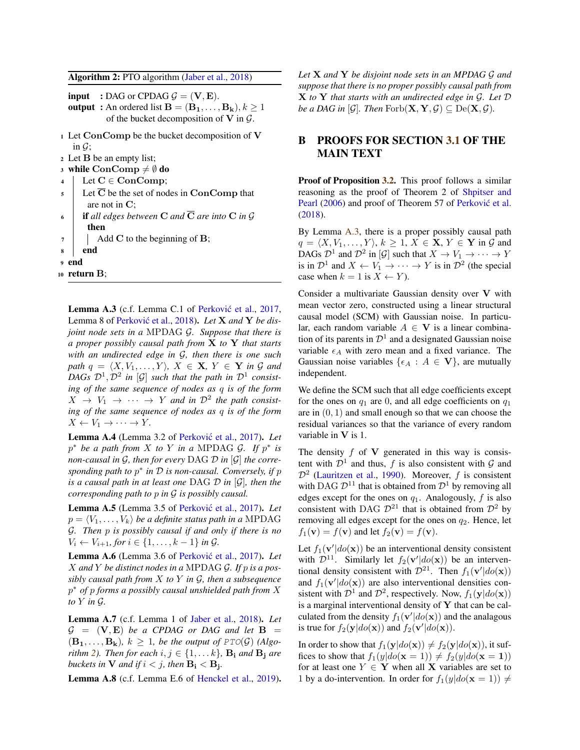Algorithm 2: PTO algorithm [\(Jaber et al.,](#page-6-3) [2018\)](#page-6-3)

- **input** : DAG or CPDAG  $\mathcal{G} = (\mathbf{V}, \mathbf{E})$ .
- **output**: An ordered list  $\mathbf{B} = (\mathbf{B_1}, \dots, \mathbf{B_k}), k \ge 1$ of the bucket decomposition of  $V$  in  $G$ .
- <sup>1</sup> Let ConComp be the bucket decomposition of V in  $\mathcal{G}$ ;
- <sup>2</sup> Let B be an empty list;
- 3 while  $ConComp \neq \emptyset$  do
- 4 Let  $C \in ConComp;$
- $5 \parallel$  Let  $\overline{C}$  be the set of nodes in ConComp that are not in C;
- 6 **if** all edges between **C** and  $\overline{C}$  are into **C** in  $\mathcal G$ then
- $7 \mid$  Add C to the beginning of B;
- <sup>8</sup> end

<sup>9</sup> end

<span id="page-1-0"></span> $10$  return  $B$ ;

<span id="page-1-1"></span>Lemma A.3 (c.f. Lemma C.1 of Perković et al., [2017,](#page-6-4) Lemma 8 of Perković et al., [2018\)](#page-6-5). Let **X** and **Y** be dis*joint node sets in a* MPDAG G*. Suppose that there is a proper possibly causal path from* X *to* Y *that starts with an undirected edge in* G*, then there is one such path*  $q = \langle X, V_1, \ldots, Y \rangle$ ,  $X \in \mathbf{X}, Y \in \mathbf{Y}$  *in* G *and* DAGs  $\mathcal{D}^1, \mathcal{D}^2$  in  $[\mathcal{G}]$  such that the path in  $\mathcal{D}^1$  consist*ing of the same sequence of nodes as* q *is of the form*  $X \rightarrow V_1 \rightarrow \cdots \rightarrow Y$  and in  $\mathcal{D}^2$  the path consist*ing of the same sequence of nodes as* q *is of the form*  $X \leftarrow V_1 \rightarrow \cdots \rightarrow Y$ .

<span id="page-1-6"></span>Lemma A.4 (Lemma 3.2 of Perković et al., [2017\)](#page-6-4). *Let*  $p^*$  *be a path from* X *to* Y *in a* MPDAG G. If  $p^*$  *is non-causal in* G*, then for every* DAG D *in* [G] *the corresponding path to* p ∗ *in* D *is non-causal. Conversely, if* p *is a causal path in at least one* DAG D *in* [G]*, then the corresponding path to* p *in* G *is possibly causal.*

<span id="page-1-5"></span>Lemma A.5 (Lemma 3.5 of Perković et al., [2017\)](#page-6-4). *Let*  $p = \langle V_1, \ldots, V_k \rangle$  *be a definite status path in a* MPDAG G*. Then* p *is possibly causal if and only if there is no*  $V_i$  ←  $V_{i+1}$ *, for*  $i \in \{1, ..., k-1\}$  *in G*.

<span id="page-1-3"></span>Lemma A.6 (Lemma 3.6 of Perković et al., [2017\)](#page-6-4). *Let* X *and* Y *be distinct nodes in a* MPDAG G*. If* p *is a possibly causal path from* X *to* Y *in* G*, then a subsequence* p <sup>∗</sup> *of* p *forms a possibly causal unshielded path from* X *to* Y *in* G*.*

<span id="page-1-2"></span>Lemma A.7 (c.f. Lemma 1 of [Jaber et al.,](#page-6-3) [2018\)](#page-6-3). *Let*  $G = (V, E)$  *be a CPDAG or DAG and let*  $B =$  $(\mathbf{B}_1, \ldots, \mathbf{B}_k)$ ,  $k > 1$ , be the output of  $PTO(\mathcal{G})$  (Algo*rithm* [2\)](#page-1-0)*. Then for each*  $i, j \in \{1, \ldots k\}$ *,*  $B_i$  *and*  $B_i$  *are* buckets in  $V$  and if  $i < j$ , then  $B_i < B_j$ .

<span id="page-1-4"></span>Lemma A.8 (c.f. Lemma E.6 of [Henckel et al.,](#page-6-6) [2019\)](#page-6-6).

*Let* X *and* Y *be disjoint node sets in an MPDAG* G *and suppose that there is no proper possibly causal path from* X *to* Y *that starts with an undirected edge in* G*. Let* D *be a DAG in* [ $\mathcal{G}$ ]*. Then* Forb $(\mathbf{X}, \mathbf{Y}, \mathcal{G}) \subseteq \text{De}(\mathbf{X}, \mathcal{G})$ *.* 

## B PROOFS FOR SECTION [3.1](#page-0-0) OF THE MAIN TEXT

Proof of Proposition [3.2.](#page-0-0) This proof follows a similar reasoning as the proof of Theorem 2 of [Shpitser and](#page-6-7) [Pearl](#page-6-7) [\(2006\)](#page-6-7) and proof of Theorem 57 of Perković et al. [\(2018\)](#page-6-5).

By Lemma [A.3,](#page-1-1) there is a proper possibly causal path  $q = \langle X, V_1, \ldots, Y \rangle, k \geq 1, X \in \mathbf{X}, Y \in \mathbf{Y}$  in G and DAGs  $\mathcal{D}^1$  and  $\mathcal{D}^2$  in [G] such that  $X \to V_1 \to \cdots \to Y$ is in  $\mathcal{D}^1$  and  $X \leftarrow V_1 \rightarrow \cdots \rightarrow Y$  is in  $\mathcal{D}^2$  (the special case when  $k = 1$  is  $X \leftarrow Y$ ).

Consider a multivariate Gaussian density over V with mean vector zero, constructed using a linear structural causal model (SCM) with Gaussian noise. In particular, each random variable  $A \in V$  is a linear combination of its parents in  $\mathcal{D}^1$  and a designated Gaussian noise variable  $\epsilon_A$  with zero mean and a fixed variance. The Gaussian noise variables { $\{\epsilon_A : A \in V\}$ , are mutually independent.

We define the SCM such that all edge coefficients except for the ones on  $q_1$  are 0, and all edge coefficients on  $q_1$ are in  $(0, 1)$  and small enough so that we can choose the residual variances so that the variance of every random variable in V is 1.

The density  $f$  of  $V$  generated in this way is consistent with  $\mathcal{D}^1$  and thus, f is also consistent with G and  $\mathcal{D}^2$  [\(Lauritzen et al.,](#page-6-8) [1990\)](#page-6-8). Moreover, f is consistent with DAG  $\mathcal{D}^{11}$  that is obtained from  $\mathcal{D}^{1}$  by removing all edges except for the ones on  $q_1$ . Analogously, f is also consistent with DAG  $\mathcal{D}^{21}$  that is obtained from  $\mathcal{D}^2$  by removing all edges except for the ones on  $q_2$ . Hence, let  $f_1(\mathbf{v}) = f(\mathbf{v})$  and let  $f_2(\mathbf{v}) = f(\mathbf{v})$ .

Let  $f_1(\mathbf{v}'|do(\mathbf{x}))$  be an interventional density consistent with  $\mathcal{D}^{11}$ . Similarly let  $f_2(\mathbf{v}'|do(\mathbf{x}))$  be an interventional density consistent with  $\mathcal{D}^{21}$ . Then  $f_1(\mathbf{v}'|do(\mathbf{x}))$ and  $f_1(\mathbf{v}'|do(\mathbf{x}))$  are also interventional densities consistent with  $\mathcal{D}^1$  and  $\mathcal{D}^2$ , respectively. Now,  $f_1(\mathbf{y}|do(\mathbf{x}))$ is a marginal interventional density of  $Y$  that can be calculated from the density  $f_1(\mathbf{v}'|do(\mathbf{x}))$  and the analagous is true for  $f_2(\mathbf{y}|do(\mathbf{x}))$  and  $f_2(\mathbf{v}'|do(\mathbf{x}))$ .

In order to show that  $f_1(\mathbf{y}|do(\mathbf{x})) \neq f_2(\mathbf{y}|do(\mathbf{x}))$ , it suffices to show that  $f_1(y|do(\mathbf{x} = 1)) \neq f_2(y|do(\mathbf{x} = 1))$ for at least one  $Y \in Y$  when all X variables are set to 1 by a do-intervention. In order for  $f_1(y|do(\mathbf{x} = 1)) \neq$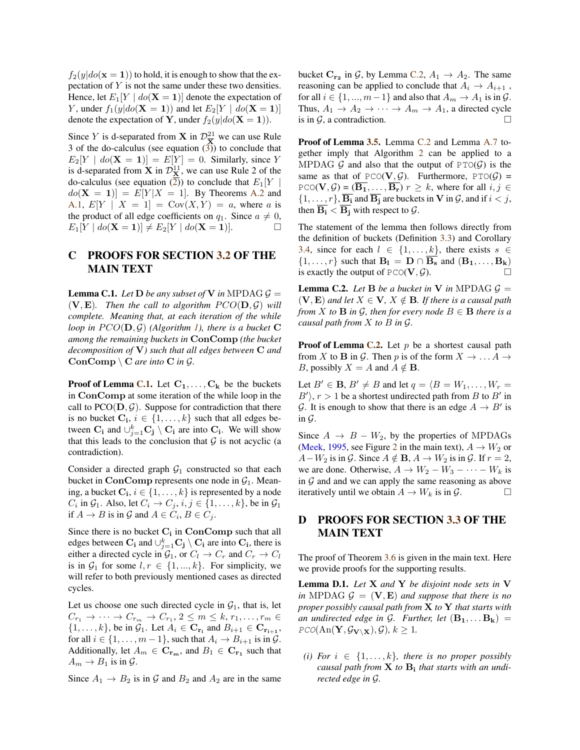$f_2(y|do(\mathbf{x} = 1))$  to hold, it is enough to show that the expectation of Y is not the same under these two densities. Hence, let  $E_1[Y \mid do(\mathbf{X} = 1)]$  denote the expectation of Y, under  $f_1(y|do(\mathbf{X} = 1))$  and let  $E_2[Y \mid do(\mathbf{X} = 1)]$ denote the expectation of Y, under  $f_2(y|do(X = 1))$ .

Since Y is d-separated from **X** in  $\mathcal{D}_{\overline{X}}^{21}$  we can use Rule 3 of the do-calculus (see equation  $(3)$ ) to conclude that  $E_2[Y \mid do(\mathbf{X} = 1)] = E[Y] = 0$ . Similarly, since Y is d-separated from **X** in  $\mathcal{D}_{\mathbf{X}}^{11}$ , we can use Rule 2 of the do-calculus (see equation  $\overline{2}$ ) to conclude that  $E_1[Y]$  $do(X = 1)$  =  $E[Y|X = 1]$ . By Theorems [A.2](#page-0-3) and [A.1,](#page-0-4)  $E[Y \mid X = 1] = Cov(X, Y) = a$ , where a is the product of all edge coefficients on  $q_1$ . Since  $a \neq 0$ ,  $E_1[Y \mid do(\mathbf{X} = 1)] \neq E_2[Y \mid do(\mathbf{X} = 1)].$ 

## C PROOFS FOR SECTION [3.2](#page-0-0) OF THE MAIN TEXT

<span id="page-2-0"></span>**Lemma C.1.** *Let*  $D$  *be any subset of*  $V$  *in* MPDAG  $G =$  $(V, E)$ *. Then the call to algorithm*  $PCO(D, \mathcal{G})$  *will complete. Meaning that, at each iteration of the while loop in*  $PCO(D, \mathcal{G})$  *(Algorithm [1\)](#page-0-0), there is a bucket* C *among the remaining buckets in* ConComp *(the bucket decomposition of* V*) such that all edges between* C *and*  $ConComp \ C \ are \ into \ C \ in \ \mathcal{G}.$ 

**Proof of Lemma [C.1.](#page-2-0)** Let  $C_1, \ldots, C_k$  be the buckets in ConComp at some iteration of the while loop in the call to  $PCO(D, \mathcal{G})$ . Suppose for contradiction that there is no bucket  $\mathbf{C_i}$ ,  $i \in \{1, ..., k\}$  such that all edges between  $\mathbf{C}_i$  and  $\cup_{j=1}^k \mathbf{C}_j \setminus \mathbf{C}_i$  are into  $\mathbf{C}_i$ . We will show that this leads to the conclusion that  $\mathcal G$  is not acyclic (a contradiction).

Consider a directed graph  $G_1$  constructed so that each bucket in ConComp represents one node in  $G_1$ . Meaning, a bucket  $\mathbf{C_i}$ ,  $i \in \{1, \ldots, k\}$  is represented by a node  $C_i$  in  $\mathcal{G}_1$ . Also, let  $C_i \to C_j$ ,  $i, j \in \{1, \dots, k\}$ , be in  $\mathcal{G}_1$ if  $A \to B$  is in  $\mathcal G$  and  $A \in C_i$ ,  $B \in C_j$ .

Since there is no bucket  $C_i$  in  $ConComp$  such that all edges between  $\mathbf{C}_{\mathbf{i}}$  and  $\cup_{j=1}^k \mathbf{C}_{\mathbf{j}} \setminus \mathbf{C}_{\mathbf{i}}$  are into  $\mathbf{C}_{\mathbf{i}}$ , there is either a directed cycle in  $\mathcal{G}_1$ , or  $C_l \to C_r$  and  $C_r \to C_l$ is in  $\mathcal{G}_1$  for some  $l, r \in \{1, ..., k\}$ . For simplicity, we will refer to both previously mentioned cases as directed cycles.

Let us choose one such directed cycle in  $G_1$ , that is, let  $C_{r_1} \to \cdots \to C_{r_m} \to C_{r_1}, 2 \leq m \leq k, r_1, \ldots, r_m \in$  $\{1,\ldots,k\}$ , be in  $\mathcal{G}_1$ . Let  $A_i \in \mathbf{C}_{\mathbf{r_i}}$  and  $B_{i+1} \in \mathbf{C}_{\mathbf{r_{i+1}}}$ , for all  $i \in \{1, \ldots, m-1\}$ , such that  $A_i \rightarrow B_{i+1}$  is in  $\mathcal{G}$ . Additionally, let  $A_m \in \mathbf{C_{r_m}}$ , and  $B_1 \in \mathbf{C_{r_1}}$  such that  $A_m \rightarrow B_1$  is in  $\mathcal{G}$ .

Since  $A_1 \rightarrow B_2$  is in G and  $B_2$  and  $A_2$  are in the same

bucket  $\mathbf{C}_{\mathbf{r}_2}$  in  $\mathcal{G}$ , by Lemma [C.2,](#page-2-1)  $A_1 \rightarrow A_2$ . The same reasoning can be applied to conclude that  $A_i \rightarrow A_{i+1}$ , for all  $i \in \{1, ..., m-1\}$  and also that  $A_m \to A_1$  is in  $\mathcal{G}$ . Thus,  $A_1 \rightarrow A_2 \rightarrow \cdots \rightarrow A_m \rightarrow A_1$ , a directed cycle is in  $\mathcal{G}$ , a contradiction.

Proof of Lemma [3.5.](#page-0-0) Lemma [C.2](#page-2-1) and Lemma [A.7](#page-1-2) together imply that Algorithm [2](#page-1-0) can be applied to a MPDAG G and also that the output of  $PTO(G)$  is the same as that of  $PCO(V, \mathcal{G})$ . Furthermore,  $PTO(\mathcal{G})$  = PCO( $V, \mathcal{G}$ ) =  $(\overline{B_1}, \ldots, \overline{B_r})$   $r \geq k$ , where for all  $i, j \in$  $\{1,\ldots,r\}, \overline{B_i}$  and  $\overline{B_j}$  are buckets in V in G, and if  $i < j$ , then  $\overline{B_i} < \overline{B_i}$  with respect to  $\mathcal{G}$ .

The statement of the lemma then follows directly from the definition of buckets (Definition [3.3\)](#page-0-0) and Corollary [3.4,](#page-0-0) since for each  $l \in \{1, \ldots, k\}$ , there exists  $s \in$  $\{1, \ldots, r\}$  such that  $B_1 = D \cap \overline{B_s}$  and  $(B_1, \ldots, B_k)$ is exactly the output of  $PCO(V, \mathcal{G})$ .

<span id="page-2-1"></span>**Lemma C.2.** Let **B** be a bucket in **V** in MPDAG  $\mathcal{G} =$  $(V, E)$  *and let*  $X \in V$ ,  $X \notin B$ *. If there is a causal path from X to* **B** *in*  $\mathcal{G}$ *, then for every node*  $B \in \mathbf{B}$  *there is a causal path from* X *to* B *in* G*.*

**Proof of Lemma [C.2.](#page-2-1)** Let  $p$  be a shortest causal path from X to B in G. Then p is of the form  $X \to \ldots A \to$ *B*, possibly  $X = A$  and  $A \notin \mathbf{B}$ .

Let  $B' \in \mathbf{B}$ ,  $B' \neq B$  and let  $q = \langle B = W_1, \dots, W_r =$  $B'$ ,  $r > 1$  be a shortest undirected path from B to B' in G. It is enough to show that there is an edge  $A \rightarrow B'$  is in  $\mathcal G$ .

Since  $A \rightarrow B - W_2$ , by the properties of MPDAGs [\(Meek,](#page-6-9) [1995,](#page-6-9) see Figure [2](#page-0-0) in the main text),  $A \rightarrow W_2$  or  $A-W_2$  is in  $\mathcal G$ . Since  $A \notin \mathbf{B}$ ,  $A \to W_2$  is in  $\mathcal G$ . If  $r=2$ , we are done. Otherwise,  $A \rightarrow W_2 - W_3 - \cdots - W_k$  is in  $G$  and and we can apply the same reasoning as above iteratively until we obtain  $A \to W_k$  is in  $\mathcal{G}$ .

### D PROOFS FOR SECTION [3.3](#page-0-0) OF THE MAIN TEXT

The proof of Theorem [3.6](#page-0-0) is given in the main text. Here we provide proofs for the supporting results.

<span id="page-2-2"></span>Lemma D.1. *Let* X *and* Y *be disjoint node sets in* V *in* MPDAG  $G = (\mathbf{V}, \mathbf{E})$  *and suppose that there is no proper possibly causal path from* X *to* Y *that starts with an undirected edge in G. Further, let*  $(B_1, \ldots B_k)$  =  $PCO(\text{An}(\mathbf{Y}, \mathcal{G}_{\mathbf{V}\setminus\mathbf{X}}), \mathcal{G}), k \geq 1.$ 

<span id="page-2-3"></span>*(i) For*  $i \in \{1, \ldots, k\}$ *, there is no proper possibly causal path from* X *to* B<sup>i</sup> *that starts with an undirected edge in* G*.*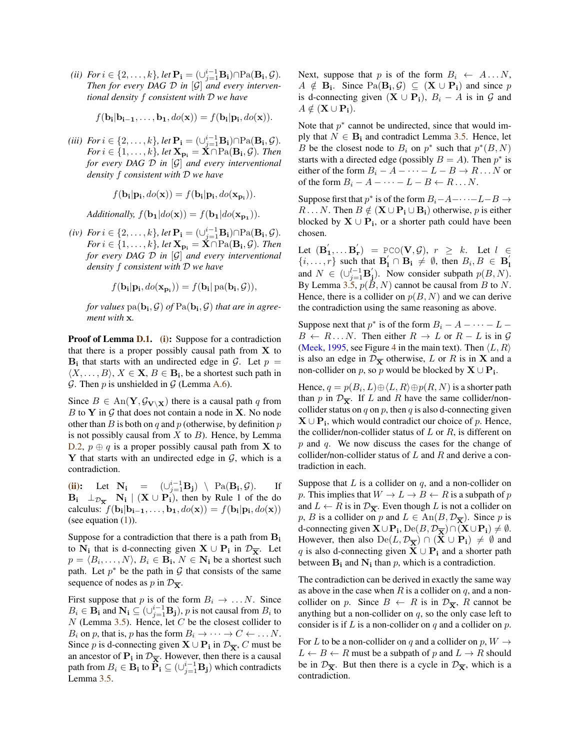<span id="page-3-0"></span>(*ii*)  $For i \in \{2, \ldots, k\}, let \mathbf{P_i} = (\cup_{j=1}^{i-1} \mathbf{B_i}) \cap \mathrm{Pa}(\mathbf{B_i}, \mathcal{G})$ . *Then for every DAG* D *in* [G] *and every interventional density* f *consistent with* D *we have*

$$
f(\mathbf{b_i}|\mathbf{b_{i-1}},\ldots,\mathbf{b_1},do(\mathbf{x})) = f(\mathbf{b_i}|\mathbf{p_i},do(\mathbf{x})).
$$

<span id="page-3-1"></span>(*iii*)  $\text{For } i \in \{2, \ldots, k\}, \text{ let } \mathbf{P_i} = (\cup_{j=1}^{i-1} \mathbf{B_i}) \cap \text{Pa}(\mathbf{B_i}, \mathcal{G}).$  $For\ i\in\{1,\ldots,k\}$ , let  $\mathbf{X_{p_i}}=\dot{\mathbf{X}}\cap \text{Pa}(\mathbf{B_i},\mathcal{G})$ *. Then for every DAG* D *in* [G] *and every interventional density* f *consistent with* D *we have*

$$
f(\mathbf{b_i}|\mathbf{p_i}, do(\mathbf{x})) = f(\mathbf{b_i}|\mathbf{p_i}, do(\mathbf{x_{p_i}})).
$$

*Additionally,*  $f(\mathbf{b_1}|do(\mathbf{x})) = f(\mathbf{b_1}|do(\mathbf{x_{p_1}})).$ 

<span id="page-3-2"></span> $(iv)$  *For*  $i \in \{2, \ldots, k\}$ , let  $\mathbf{P_i} = (\cup_{j=1}^{i-1} \mathbf{B_i}) \cap \text{Pa}(\mathbf{B_i}, \mathcal{G})$ .  $For\ i\in\{1,\ldots,k\}$ , let  $\mathbf{X_{p_i}}=\check{\mathbf{X}}\cap \text{Pa}(\mathbf{B_i},\mathcal{G})$ *. Then for every DAG* D *in* [G] *and every interventional density* f *consistent with* D *we have*

$$
f(\mathbf{b_i}|\mathbf{p_i}, do(\mathbf{x_{p_i}})) = f(\mathbf{b_i}|\operatorname{pa}(\mathbf{b_i}, \mathcal{G})),
$$

for values  $\text{pa}(\mathbf{b_i}, \mathcal{G})$  of  $\text{Pa}(\mathbf{b_i}, \mathcal{G})$  that are in agree*ment with* x*.*

Proof of Lemma [D.1.](#page-2-2) [\(i\):](#page-2-3) Suppose for a contradiction that there is a proper possibly causal path from  $X$  to  $B_i$  that starts with an undirected edge in  $G_i$ . Let  $p =$  $\langle X, \ldots, B \rangle$ ,  $X \in \mathbf{X}, B \in \mathbf{B_i}$ , be a shortest such path in  $G$ . Then p is unshielded in  $G$  (Lemma [A.6\)](#page-1-3).

Since  $B \in \text{An}(\mathbf{Y}, \mathcal{G}_{\mathbf{V} \setminus \mathbf{X}})$  there is a causal path q from  $B$  to Y in  $G$  that does not contain a node in X. No node other than B is both on q and p (otherwise, by definition  $p$ ) is not possibly causal from  $X$  to  $B$ ). Hence, by Lemma [D.2,](#page-5-0)  $p \oplus q$  is a proper possibly causal path from **X** to Y that starts with an undirected edge in  $G$ , which is a contradiction.

[\(ii\):](#page-3-0) Let  $N_i = (\bigcup_{j=1}^{i-1} B_j) \setminus Pa(B_i, \mathcal{G})$ . If  $B_i$   $\perp_{\mathcal{D}_{\overline{X}}}$   $N_i$  |  $(X \cup P_i)$ , then by Rule 1 of the do calculus:  $f(\mathbf{b_i}|\mathbf{b_{i-1}}, \dots, \mathbf{b_1}, do(\mathbf{x})) = f(\mathbf{b_i}|\mathbf{p_i}, do(\mathbf{x}))$ (see equation  $(1)$ ).

Suppose for a contradiction that there is a path from B<sup>i</sup> to  $N_i$  that is d-connecting given  $X \cup P_i$  in  $\mathcal{D}_{\overline{X}}$ . Let  $p = \langle B_i, \dots, N \rangle, B_i \in \mathbf{B_i}, N \in \mathbf{N_i}$  be a shortest such path. Let  $p^*$  be the path in  $\mathcal G$  that consists of the same sequence of nodes as p in  $\mathcal{D}_{\overline{\mathbf{X}}}$ .

First suppose that p is of the form  $B_i \rightarrow \dots N$ . Since  $B_i \in \mathbf{B_i}$  and  $\mathbf{N_i} \subseteq (\cup_{j=1}^{i-1} \mathbf{B_j})$ , p is not causal from  $B_i$  to  $N$  (Lemma [3.5\)](#page-0-0). Hence, let  $C$  be the closest collider to  $B_i$  on p, that is, p has the form  $B_i \to \cdots \to C \leftarrow \ldots N$ . Since *p* is d-connecting given **X**  $\cup$  **P**<sub>i</sub> in  $\mathcal{D}_{\overline{X}}$ , *C* must be an ancestor of  $P_i$  in  $\mathcal{D}_{\overline{X}}$ . However, then there is a causal path from  $B_i \in \mathbf{B_i}$  to  $\mathbf{\hat{P}_i} \subseteq (\cup_{j=1}^{i-1} \mathbf{B_j})$  which contradicts Lemma [3.5.](#page-0-0)

Next, suppose that p is of the form  $B_i \leftarrow A \dots N$ ,  $A \notin \mathbf{B_i}$ . Since  $\text{Pa}(\mathbf{B_i}, \mathcal{G}) \subseteq (\mathbf{X} \cup \mathbf{P_i})$  and since p is d-connecting given  $(X \cup P_i)$ ,  $B_i - A$  is in G and  $A \notin (\mathbf{X} \cup \mathbf{P_i}).$ 

Note that  $p^*$  cannot be undirected, since that would imply that  $N \in \mathbf{B_i}$  and contradict Lemma [3.5.](#page-0-0) Hence, let B be the closest node to  $B_i$  on  $p^*$  such that  $p^*(B, N)$ starts with a directed edge (possibly  $B = A$ ). Then  $p^*$  is either of the form  $B_i - A - \cdots - L - B \rightarrow R \dots N$  or of the form  $B_i - A - \cdots - L - B \leftarrow R \dots N$ .

Suppose first that  $p^*$  is of the form  $B_i$ - $A$ -··- $L-B$  $R \dots N$ . Then  $B \notin (\mathbf{X} \cup \mathbf{P_i} \cup \mathbf{B_i})$  otherwise, p is either blocked by  $X \cup P_i$ , or a shorter path could have been chosen.

Let  $(\mathbf{B}_1', \dots \mathbf{B}_r') = \text{PCO}(\mathbf{V}, \mathcal{G}), r \geq k$ . Let  $l \in$  $\{i, \ldots, r\}$  such that  $\mathbf{B}'_1 \cap \mathbf{B}_1 \neq \emptyset$ , then  $B_i, B \in \mathbf{B}'_1$ and  $N \in (\cup_{j=1}^{l-1} \mathbf{B}'_j)$ . Now consider subpath  $p(B, N)$ . By Lemma [3.5,](#page-0-0)  $p(B, N)$  cannot be causal from B to N. Hence, there is a collider on  $p(B, N)$  and we can derive the contradiction using the same reasoning as above.

Suppose next that  $p^*$  is of the form  $B_i - A - \cdots - L B \leftarrow R \dots N$ . Then either  $R \rightarrow L$  or  $R - L$  is in  $\mathcal{G}$ [\(Meek,](#page-6-9) [1995,](#page-6-9) see Figure [4](#page-0-0) in the main text). Then  $\langle L, R \rangle$ is also an edge in  $\mathcal{D}_{\overline{X}}$  otherwise, L or R is in X and a non-collider on p, so p would be blocked by  $\mathbf{X} \cup \mathbf{P_i}$ .

Hence,  $q = p(B_i, L) \oplus \langle L, R \rangle \oplus p(R, N)$  is a shorter path than p in  $\mathcal{D}_{\overline{\mathbf{x}}}$ . If L and R have the same collider/noncollider status on  $q$  on  $p$ , then  $q$  is also d-connecting given  $X \cup P_i$ , which would contradict our choice of p. Hence, the collider/non-collider status of  $L$  or  $R$ , is different on p and q. We now discuss the cases for the change of collider/non-collider status of  $L$  and  $R$  and derive a contradiction in each.

Suppose that  $L$  is a collider on  $q$ , and a non-collider on p. This implies that  $W \to L \to B \leftarrow R$  is a subpath of p and  $L \leftarrow R$  is in  $\mathcal{D}_{\overline{\mathbf{x}}}$ . Even though L is not a collider on p, B is a collider on p and  $L \in \text{An}(B, \mathcal{D}_{\overline{\mathbf{X}}})$ . Since p is d-connecting given  $\mathbf{X} \cup \mathbf{P_i}$ ,  $\mathrm{De}(B, \mathcal{D}_{\overline{\mathbf{X}}}) \cap (\mathbf{X} \cup \mathbf{P_i}) \neq \emptyset$ . However, then also  $De(L, \mathcal{D}_{\overline{X}}) \cap (\mathbf{X} \cup \mathbf{P}_i) \neq \emptyset$  and q is also d-connecting given  $X \cup P_i$  and a shorter path between  $B_i$  and  $N_i$  than p, which is a contradiction.

The contradiction can be derived in exactly the same way as above in the case when R is a collider on  $q$ , and a noncollider on p. Since  $B \leftarrow R$  is in  $\mathcal{D}_{\overline{X}}$ , R cannot be anything but a non-collider on  $q$ , so the only case left to consider is if  $L$  is a non-collider on  $q$  and a collider on  $p$ .

For L to be a non-collider on q and a collider on  $p, W \rightarrow$  $L \leftarrow B \leftarrow R$  must be a subpath of p and  $L \rightarrow R$  should be in  $\mathcal{D}_{\overline{X}}$ . But then there is a cycle in  $\mathcal{D}_{\overline{X}}$ , which is a contradiction.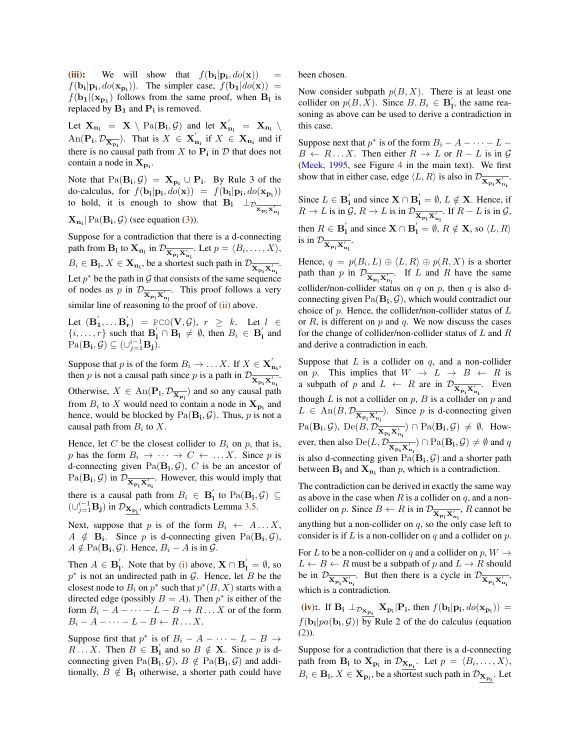[\(iii\):](#page-3-1) We will show that  $f(\mathbf{b_i}|\mathbf{p_i}, do(\mathbf{x})) =$  $f(\mathbf{b_i}|\mathbf{p_i}, do(\mathbf{x_{p_i}}))$ . The simpler case,  $f(\mathbf{b_1}|do(\mathbf{x})) =$  $f(\mathbf{b_1} | (\mathbf{x_{p_1}})$  follows from the same proof, when  $\mathbf{B_i}$  is replaced by  $B_1$  and  $P_i$  is removed.

Let  $\mathbf{X}_{\mathbf{n_i}} = \mathbf{X} \setminus \text{Pa}(\mathbf{B_i}, \mathcal{G})$  and let  $\mathbf{X}_{\mathbf{n_i}}' = \mathbf{X}_{\mathbf{n_i}} \setminus \mathbf{X}_{\mathbf{n_i}}$ An( $\mathbf{P_i}, \mathcal{D}_{\overline{\mathbf{X}_{\mathbf{p_i}}}}$ ). That is  $X \in \mathbf{X}_{\mathbf{n_i}}'$  if  $X \in \mathbf{X}_{\mathbf{n_i}}$  and if there is no causal path from X to  $P_i$  in D that does not contain a node in  $X_{p_i}$ .

Note that  $Pa(B_i, \mathcal{G}) = \mathbf{X}_{p_i} \cup P_i$ . By Rule 3 of the do-calculus, for  $f(\mathbf{b_i}|\mathbf{p_i}, do(\mathbf{x})) = f(\mathbf{b_i}|\mathbf{p_i}, do(\mathbf{x_p}_i))$ to hold, it is enough to show that  $B_i \perp_{\mathcal{D}_{\overline{\mathbf{X}}_{p_i} \times_{n_i}^{\prime}}}$  $\mathbf{X}_{\mathbf{n_i}}$  | Pa $(\mathbf{B_i}, \mathcal{G})$  (see equation [\(3\)](#page-0-1)).

Suppose for a contradiction that there is a d-connecting path from  $\mathbf{B_i}$  to  $\mathbf{X_{n_i}}$  in  $\mathcal{D}_{\overline{\mathbf{X_{p_i}}\mathbf{X'_{n_i}}}}$ . Let  $p = \langle B_i, \dots, X \rangle$ ,  $B_i \in \mathbf{B_i}, X \in \mathbf{X_{n_i}}$ , be a shortest such path in  $\mathcal{D}_{\overline{\mathbf{X_{p_i}}}\mathbf{X'_{n_i}}}$ . Let  $p^*$  be the path in  $\mathcal G$  that consists of the same sequence of nodes as p in  $\mathcal{D}_{\overline{\mathbf{X}_{p_1}\mathbf{X}'_{n_1}}}$ . This proof follows a very similar line of reasoning to the proof of [\(ii\)](#page-3-0) above.

Let  $(\mathbf{B}'_1, \dots \mathbf{B}'_r) = \text{PCO}(\mathbf{V}, \mathcal{G}), r \geq k$ . Let  $l \in$  $\{i, \ldots, r\}$  such that  $\mathbf{B}'_1 \cap \mathbf{B}_1 \neq \emptyset$ , then  $B_i \in \mathbf{B}'_1$  and  $\mathrm{Pa}(\mathbf{B_i}, \mathcal{G}) \subseteq (\cup_{j=1}^{i-1} \mathbf{B_j}).$ 

Suppose that p is of the form  $B_i \to \dots X$ . If  $X \in \mathbf{X}_{n_i}^{\prime}$ , then p is not a causal path since p is a path in  $\mathcal{D}_{\overline{\mathbf{X}_{p_1}\mathbf{X}'_{n_1}}}$ . Otherwise,  $X \in \text{An}(\mathbf{P_i}, \mathcal{D}_{\overline{\mathbf{X}_{\mathbf{p_i}}}})$  and so any causal path from  $B_i$  to X would need to contain a node in  $\mathbf{X}_{\mathbf{p_i}}$  and hence, would be blocked by  $Pa(B_i, \mathcal{G})$ . Thus, p is not a causal path from  $B_i$  to X.

Hence, let C be the closest collider to  $B_i$  on p, that is, p has the form  $B_i \to \cdots \to C \leftarrow \dots X$ . Since p is d-connecting given  $Pa(B_i, \mathcal{G})$ , C is be an ancestor of  $\text{Pa}(\mathbf{B_i}, \mathcal{G})$  in  $\mathcal{D}_{\overline{\mathbf{X}_{p_i} \mathbf{X}'_{n_i}}}$ . However, this would imply that there is a causal path from  $B_i \in \mathbf{B}'_1$  to  $\text{Pa}(\mathbf{B}_i, \mathcal{G}) \subseteq$  $(\cup_{j=1}^{i-1} \mathbf{B_j})$  in  $\mathcal{D}_{\mathbf{X}_{\mathbf{p_i}}}$ , which contradicts Lemma [3.5.](#page-0-0)

Next, suppose that p is of the form  $B_i \leftarrow A \dots X$ ,  $A \notin \mathbf{B_i}$ . Since p is d-connecting given  $\text{Pa}(\mathbf{B_i}, \mathcal{G})$ ,  $A \notin \text{Pa}(\mathbf{B_i}, \mathcal{G})$ . Hence,  $B_i - A$  is in  $\mathcal{G}$ .

Then  $A \in \mathbf{B}'_1$ . Note that by [\(i\)](#page-2-3) above,  $\mathbf{X} \cap \mathbf{B}'_1 = \emptyset$ , so  $p^*$  is not an undirected path in  $\mathcal G$ . Hence, let  $B$  be the closest node to  $B_i$  on  $p^*$  such that  $p^*(B, X)$  starts with a directed edge (possibly  $B = A$ ). Then  $p^*$  is either of the form  $B_i - A - \cdots - L - B \rightarrow R \dots X$  or of the form  $B_i - A - \cdots - L - B \leftarrow R \ldots X$ .

Suppose first that  $p^*$  is of  $B_i - A - \cdots - L - B \rightarrow$  $R \dots X$ . Then  $B \in \mathbf{B}'_1$  and so  $B \notin \mathbf{X}$ . Since p is dconnecting given  $\text{Pa}(\mathbf{B_i}, \mathcal{G})$ ,  $B \notin \text{Pa}(\mathbf{B_i}, \mathcal{G})$  and additionally,  $B \notin \mathbf{B_i}$  otherwise, a shorter path could have been chosen.

Now consider subpath  $p(B, X)$ . There is at least one collider on  $p(B, X)$ . Since  $B, B_i \in \mathbf{B}'_1$ , the same reasoning as above can be used to derive a contradiction in this case.

Suppose next that  $p^*$  is of the form  $B_i - A - \cdots - L B \leftarrow R \dots X$ . Then either  $R \rightarrow L$  or  $R - L$  is in  $\mathcal{G}$ [\(Meek,](#page-6-9) [1995,](#page-6-9) see Figure [4](#page-0-0) in the main text). We first show that in either case, edge  $\langle L, R \rangle$  is also in  $\mathcal{D}_{\overline{\mathbf{X}_{p_1} \mathbf{X}'_{n_1}}}$ .

Since  $L \in \mathbf{B}'_1$  and since  $\mathbf{X} \cap \mathbf{B}'_1 = \emptyset$ ,  $L \notin \mathbf{X}$ . Hence, if  $R \to L$  is in  $\mathcal{G}, R \to L$  is in  $\mathcal{D}_{\overline{\mathbf{X}_{p_1}\mathbf{X}'_{n_1}}}$ . If  $R - L$  is in  $\mathcal{G},$ then  $R \in \mathbf{B}'_1$  and since  $\mathbf{X} \cap \mathbf{B}'_1 = \emptyset$ ,  $R \notin \mathbf{X}$ , so  $\langle L, R \rangle$ is in  $\mathcal{D}_{\overline{\mathbf{X}_{p_i} \mathbf{X}_{n_i}'}}$ .

Hence,  $q = p(B_i, L) \oplus \langle L, R \rangle \oplus p(R, X)$  is a shorter path than p in  $\mathcal{D}_{\overline{\mathbf{X}_{p_i}\mathbf{X}'_{n_i}}}$ . If L and R have the same collider/non-collider status on  $q$  on  $p$ , then  $q$  is also dconnecting given  $\text{Pa}(\mathbf{B_i}, \mathcal{G})$ , which would contradict our choice of  $p$ . Hence, the collider/non-collider status of  $L$ or  $R$ , is different on  $p$  and  $q$ . We now discuss the cases for the change of collider/non-collider status of  $L$  and  $R$ and derive a contradiction in each.

Suppose that  $L$  is a collider on  $q$ , and a non-collider on p. This implies that  $W \rightarrow L \rightarrow B \leftarrow R$  is a subpath of p and  $L \leftarrow R$  are in  $\mathcal{D}_{\overline{\mathbf{X}_{p_i}\mathbf{X}'_{n_i}}}$ . Even though  $L$  is not a collider on  $p$ ,  $B$  is a collider on  $p$  and  $L \in \text{An}(B, \mathcal{D}_{\overline{\mathbf{X}_{p_i} \mathbf{X}'_{n_i}}})$ . Since p is d-connecting given  $\text{Pa}(\mathbf{B_i}, \mathcal{G})$ ,  $\text{De}(B, \mathcal{D}_{\overline{\mathbf{X}_{p_i}\mathbf{X}'_{n_i}}}) \cap \text{Pa}(\mathbf{B_i}, \mathcal{G}) \neq \emptyset$ . However, then also  $De(L, \mathcal{D}_{\overline{\mathbf{X}_{p_1}\mathbf{X}'_{n_1}}}) \cap Pa(\mathbf{B_i}, \mathcal{G}) \neq \emptyset$  and q is also d-connecting given  $\text{Pa}(\mathbf{B_i}, \mathcal{G})$  and a shorter path between  $B_i$  and  $X_{n_i}$  than p, which is a contradiction.

The contradiction can be derived in exactly the same way as above in the case when  $R$  is a collider on  $q$ , and a noncollider on p. Since  $B \leftarrow R$  is in  $\mathcal{D}_{\overline{\mathbf{X}_{p_1} \mathbf{X}'_{p_1}}}$ , R cannot be anything but a non-collider on  $q$ , so the only case left to consider is if  $L$  is a non-collider on  $q$  and a collider on  $p$ .

For L to be a non-collider on q and a collider on  $p, W \rightarrow$  $L \leftarrow B \leftarrow R$  must be a subpath of p and  $L \rightarrow R$  should be in  $\mathcal{D}_{\overline{\mathbf{X}_{p_i}\mathbf{X}'_{n_i}}}$ . But then there is a cycle in  $\mathcal{D}_{\overline{\mathbf{X}_{p_i}\mathbf{X}'_{n_i}}}$ which is a contradiction.

[\(iv\):](#page-3-2). If  $B_i \perp_{\mathcal{D}_{\mathbf{X}_{\mathbf{p}_i}}} \mathbf{X}_{\mathbf{p}_i} | P_i$ , then  $f(\mathbf{b_i} | \mathbf{p_i}, do(\mathbf{x}_{\mathbf{p}_i})) =$  $f(\mathbf{b_i} | pa(\mathbf{b_i}, \mathcal{G}))$  by Rule 2 of the do calculus (equation [\(2\)](#page-0-2)).

Suppose for a contradiction that there is a d-connecting path from  $B_i$  to  $X_{p_i}$  in  $\mathcal{D}_{X_{p_i}}$ . Let  $p = \langle B_i, \dots, X \rangle$ ,  $B_i \in \mathbf{B_i}, X \in \mathbf{X_{p_i}}$ , be a shortest such path in  $\mathcal{D}_{\mathbf{X_{p_i}}}$ . Let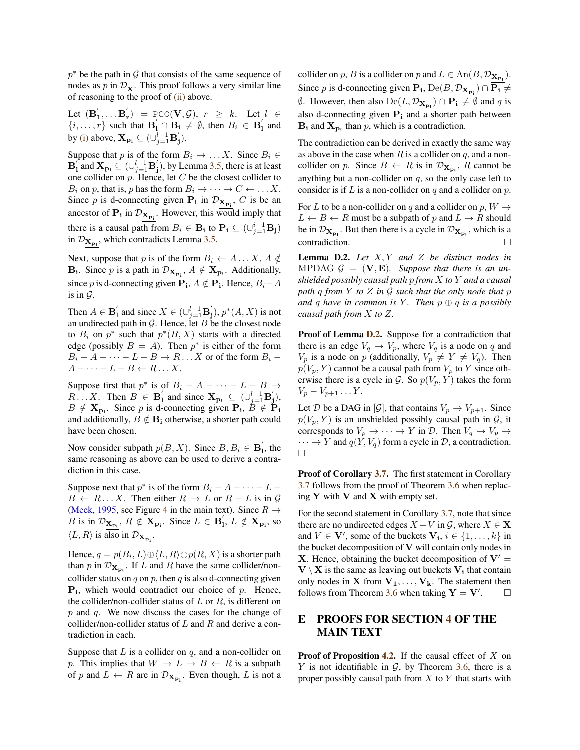$p^*$  be the path in G that consists of the same sequence of nodes as p in  $\mathcal{D}_{\overline{\mathbf{x}}}$ . This proof follows a very similar line of reasoning to the proof of [\(ii\)](#page-3-0) above.

Let  $(\mathbf{B}_1', \dots \mathbf{B}_r') = \text{PCO}(\mathbf{V}, \mathcal{G}), r \geq k$ . Let  $l \in$  $\{i, \ldots, r\}$  such that  $\mathbf{B}'_1 \cap \mathbf{B}_1 \neq \emptyset$ , then  $B_i \in \mathbf{B}'_1$  and by [\(i\)](#page-2-3) above,  $\mathbf{X}_{\mathbf{p_i}} \subseteq (\cup_{j=1}^{l-1} \mathbf{B}'_j)$ .

Suppose that p is of the form  $B_i \to \dots X$ . Since  $B_i \in$  $\mathbf{B}_{1}^{'}$  and  $\mathbf{X}_{\mathbf{p_{i}}} \subseteq (\cup_{j=1}^{l-1} \mathbf{B}_{j}^{'}),$  by Lemma [3.5,](#page-0-0) there is at least one collider on  $p$ . Hence, let  $C$  be the closest collider to  $B_i$  on p, that is, p has the form  $B_i \to \cdots \to C \leftarrow \ldots X$ . Since p is d-connecting given  $P_i$  in  $\mathcal{D}_{\mathbf{X}_{p_i}}$ , C is be an ancestor of  $P_i$  in  $\mathcal{D}_{X_{P_i}}$ . However, this would imply that there is a causal path from  $B_i \in \mathbf{B_i}$  to  $\mathbf{P_i} \subseteq (\cup_{j=1}^{i-1} \mathbf{B_j})$ in  $\mathcal{D}_{\mathbf{X}_{\mathbf{p_i}}}$ , which contradicts Lemma [3.5.](#page-0-0)

Next, suppose that p is of the form  $B_i \leftarrow A \dots X$ ,  $A \notin \mathcal{C}$  $\mathbf{B}_{i}$ . Since p is a path in  $\mathcal{D}_{\mathbf{X}_{\mathbf{p}_{i}}}, A \notin \mathbf{X}_{\mathbf{p}_{i}}$ . Additionally, since p is d-connecting given  $P_i$ ,  $A \notin P_i$ . Hence,  $B_i - A$ is in  $\mathcal{G}$ .

Then  $A \in \mathbf{B}'_1$  and since  $X \in (\cup_{j=1}^{l-1} \mathbf{B}'_j)$ ,  $p^*(A, X)$  is not an undirected path in  $G$ . Hence, let  $B$  be the closest node to  $B_i$  on  $p^*$  such that  $p^*(B, X)$  starts with a directed edge (possibly  $B = A$ ). Then  $p^*$  is either of the form  $B_i - A - \cdots - L - B \rightarrow R \dots X$  or of the form  $B_i$  –  $A - \cdots - L - B \leftarrow R \ldots X.$ 

Suppose first that  $p^*$  is of  $B_i - A - \cdots - L - B \rightarrow$  $R \dots X$ . Then  $B \in \mathbf{B}'_1$  and since  $\mathbf{X}_{\mathbf{p_i}} \subseteq (\cup_{j=1}^{l-1} \mathbf{B}'_j)$ ,  $B \notin \mathbf{X}_{\mathbf{p_i}}$ . Since p is d-connecting given  $\mathbf{P_i}$ ,  $B \notin \mathbf{P_i}$ and additionally,  $B \notin \mathbf{B_i}$  otherwise, a shorter path could have been chosen.

Now consider subpath  $p(B, X)$ . Since  $B, B_i \in \mathbf{B}'_1$ , the same reasoning as above can be used to derive a contradiction in this case.

Suppose next that  $p^*$  is of the form  $B_i - A - \cdots - L B \leftarrow R \dots X$ . Then either  $R \rightarrow L$  or  $R - L$  is in  $\mathcal{G}$ [\(Meek,](#page-6-9) [1995,](#page-6-9) see Figure [4](#page-0-0) in the main text). Since  $R \rightarrow$ B is in  $\mathcal{D}_{\mathbf{X}_{\mathbf{p_i}}}, R \notin \mathbf{X}_{\mathbf{p_i}}$ . Since  $L \in \mathbf{B}'_1, L \notin \mathbf{X}_{\mathbf{p_i}}$ , so  $\langle L, R \rangle$  is also in  $\mathcal{D}_{\mathbf{X}_{\mathbf{p_i}}}.$ 

Hence,  $q = p(B_i, L) \oplus \langle L, R \rangle \oplus p(R, X)$  is a shorter path than p in  $\mathcal{D}_{\mathbf{X}_{\mathbf{p}_i}}$ . If L and R have the same collider/noncollider status on q on p, then q is also d-connecting given  $P_i$ , which would contradict our choice of p. Hence, the collider/non-collider status of  $L$  or  $R$ , is different on  $p$  and  $q$ . We now discuss the cases for the change of collider/non-collider status of  $L$  and  $R$  and derive a contradiction in each.

Suppose that  $L$  is a collider on  $q$ , and a non-collider on p. This implies that  $W \to L \to B \leftarrow R$  is a subpath of p and  $L \leftarrow R$  are in  $\mathcal{D}_{\mathbf{X}_{\mathbf{p_i}}}$ . Even though, L is not a

collider on p, B is a collider on p and  $L \in \text{An}(B, \mathcal{D}_{\mathbf{X}_{\mathbf{p_i}}}).$ Since *p* is d-connecting given  $P_i$ ,  $De(B, \mathcal{D}_{X_{p_i}}) \cap P_i \neq$  $\emptyset$ . However, then also  $De(L, \mathcal{D}_{\mathbf{X}_{\mathbf{p_i}}}) \cap \mathbf{P_i} \neq \emptyset$  and q is also d-connecting given  $P_i$  and a shorter path between  $\mathbf{B}_{i}$  and  $\mathbf{X}_{p_{i}}$  than p, which is a contradiction.

The contradiction can be derived in exactly the same way as above in the case when  $R$  is a collider on  $q$ , and a noncollider on p. Since  $B \leftarrow R$  is in  $\mathcal{D}_{\mathbf{X}_{\mathbf{p_i}}}$ , R cannot be anything but a non-collider on  $q$ , so the only case left to consider is if  $L$  is a non-collider on  $q$  and a collider on  $p$ .

For L to be a non-collider on q and a collider on  $p, W \rightarrow$  $L \leftarrow B \leftarrow R$  must be a subpath of p and  $L \rightarrow R$  should be in  $\mathcal{D}_{\mathbf{X}_{\mathbf{p_i}}}$ . But then there is a cycle in  $\mathcal{D}_{\mathbf{X}_{\mathbf{p_i}}}$ , which is a contradiction.

<span id="page-5-0"></span>Lemma D.2. *Let* X, Y *and* Z *be distinct nodes in* MPDAG  $G = (\mathbf{V}, \mathbf{E})$ *. Suppose that there is an unshielded possibly causal path* p *from* X *to* Y *and a causal path* q *from* Y *to* Z *in* G *such that the only node that* p *and* q have in common is Y. Then  $p \oplus q$  is a possibly *causal path from* X *to* Z*.*

Proof of Lemma [D.2.](#page-5-0) Suppose for a contradiction that there is an edge  $V_q \rightarrow V_p$ , where  $V_q$  is a node on q and  $V_p$  is a node on p (additionally,  $V_p \neq Y \neq V_q$ ). Then  $p(V_p, Y)$  cannot be a causal path from  $V_p$  to Y since otherwise there is a cycle in  $G$ . So  $p(V_p, Y)$  takes the form  $V_p - V_{p+1} \ldots Y$ .

Let D be a DAG in [G], that contains  $V_p \rightarrow V_{p+1}$ . Since  $p(V_p, Y)$  is an unshielded possibly causal path in  $\mathcal{G}$ , it corresponds to  $V_p \to \cdots \to Y$  in  $\mathcal{D}$ . Then  $V_q \to V_p \to Y$  $\cdots \rightarrow Y$  and  $q(Y, V_q)$  form a cycle in D, a contradiction.  $\Box$ 

Proof of Corollary [3.7.](#page-0-0) The first statement in Corollary [3.7](#page-0-0) follows from the proof of Theorem [3.6](#page-0-0) when replacing  $Y$  with  $V$  and  $X$  with empty set.

For the second statement in Corollary [3.7,](#page-0-0) note that since there are no undirected edges  $X - V$  in  $\mathcal{G}$ , where  $X \in \mathbf{X}$ and  $V \in V'$ , some of the buckets  $V_i$ ,  $i \in \{1, ..., k\}$  in the bucket decomposition of  $V$  will contain only nodes in **X**. Hence, obtaining the bucket decomposition of  $V' =$  $V \setminus X$  is the same as leaving out buckets  $V_i$  that contain only nodes in **X** from  $V_1, \ldots, V_k$ . The statement then follows from Theorem [3.6](#page-0-0) when taking  $Y = V'$ .  $\Box$ 

# E PROOFS FOR SECTION [4](#page-0-0) OF THE MAIN TEXT

**Proof of Proposition [4.2.](#page-0-0)** If the causal effect of  $X$  on Y is not identifiable in  $G$ , by Theorem [3.6,](#page-0-0) there is a proper possibly causal path from  $X$  to  $Y$  that starts with